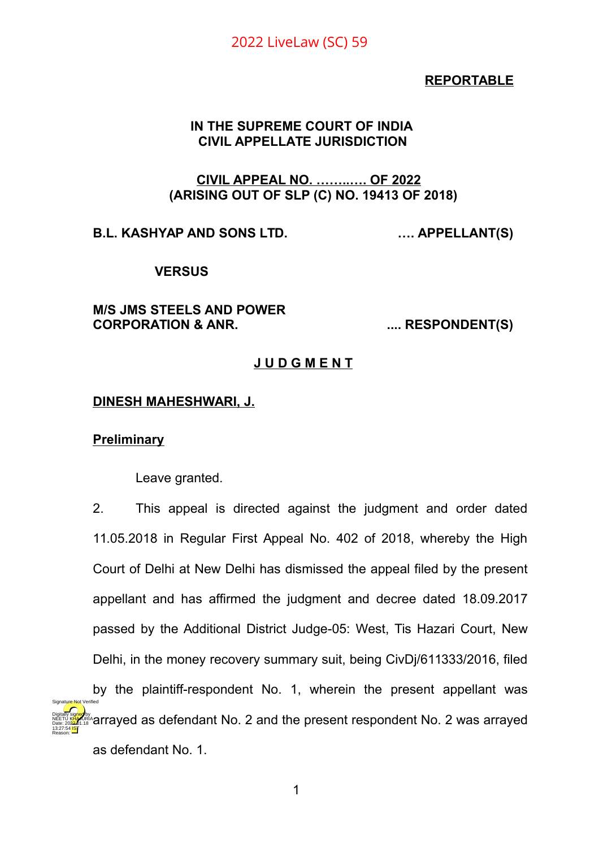### **REPORTABLE**

### **IN THE SUPREME COURT OF INDIA CIVIL APPELLATE JURISDICTION**

#### **CIVIL APPEAL NO. ……..…. OF 2022 (ARISING OUT OF SLP (C) NO. 19413 OF 2018)**

**B.L. KASHYAP AND SONS LTD. …. APPELLANT(S)**

#### **VERSUS**

#### **M/S JMS STEELS AND POWER CORPORATION & ANR. .... RESPONDENT(S)**

#### **J U D G M E N T**

#### **DINESH MAHESHWARI, J.**

#### **Preliminary**

13:27:54 IST Reason:

Leave granted.

2. This appeal is directed against the judgment and order dated 11.05.2018 in Regular First Appeal No. 402 of 2018, whereby the High Court of Delhi at New Delhi has dismissed the appeal filed by the present appellant and has affirmed the judgment and decree dated 18.09.2017 passed by the Additional District Judge-05: West, Tis Hazari Court, New Delhi, in the money recovery summary suit, being CivDj/611333/2016, filed by the plaintiff-respondent No. 1, wherein the present appellant was arrayed as defendant No. 2 and the present respondent No. 2 was arrayed as defendant No. 1. Digitally signed by NEETU KHAJURIA Date: 2022.01.18 Signature Not Verified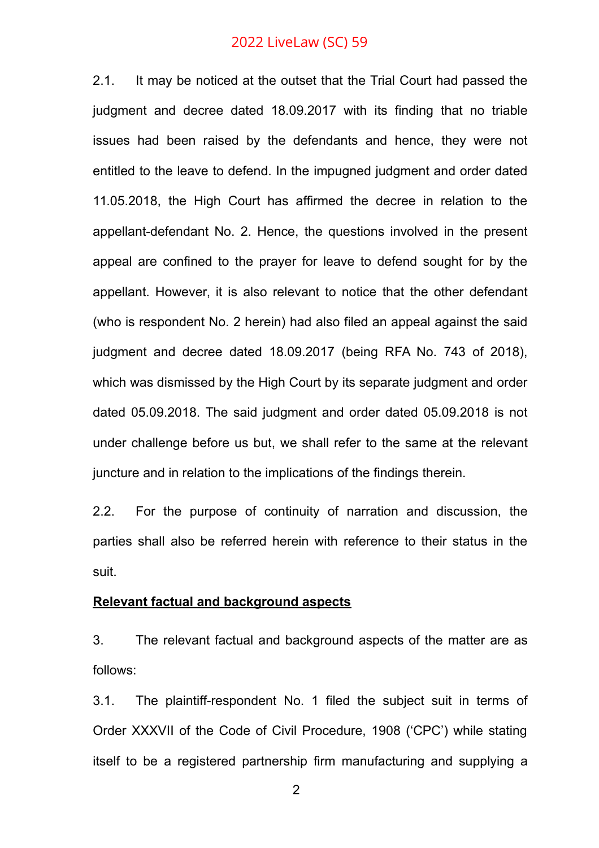2.1. It may be noticed at the outset that the Trial Court had passed the judgment and decree dated 18.09.2017 with its finding that no triable issues had been raised by the defendants and hence, they were not entitled to the leave to defend. In the impugned judgment and order dated 11.05.2018, the High Court has affirmed the decree in relation to the appellant-defendant No. 2. Hence, the questions involved in the present appeal are confined to the prayer for leave to defend sought for by the appellant. However, it is also relevant to notice that the other defendant (who is respondent No. 2 herein) had also filed an appeal against the said judgment and decree dated 18.09.2017 (being RFA No. 743 of 2018), which was dismissed by the High Court by its separate judgment and order dated 05.09.2018. The said judgment and order dated 05.09.2018 is not under challenge before us but, we shall refer to the same at the relevant juncture and in relation to the implications of the findings therein.

2.2. For the purpose of continuity of narration and discussion, the parties shall also be referred herein with reference to their status in the suit.

#### **Relevant factual and background aspects**

3. The relevant factual and background aspects of the matter are as follows:

3.1. The plaintiff-respondent No. 1 filed the subject suit in terms of Order XXXVII of the Code of Civil Procedure, 1908 ('CPC') while stating itself to be a registered partnership firm manufacturing and supplying a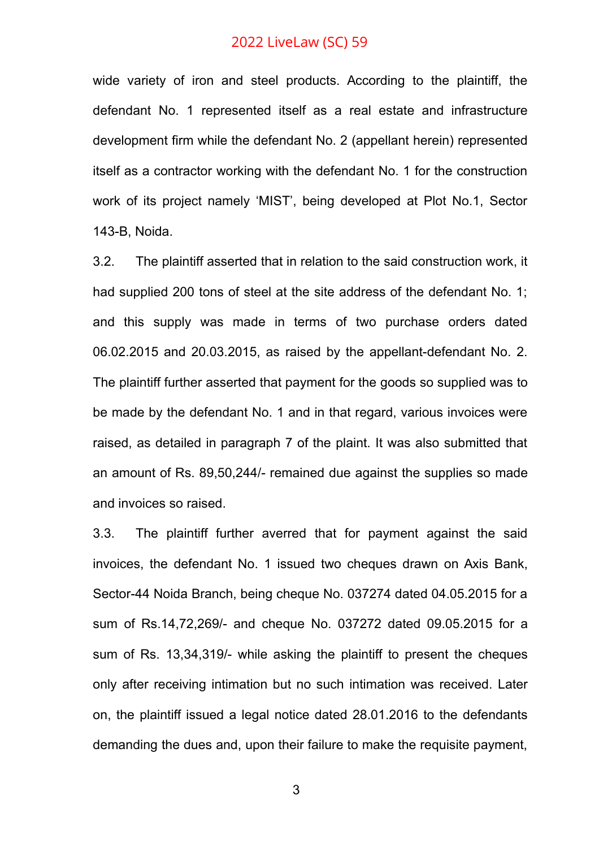wide variety of iron and steel products. According to the plaintiff, the defendant No. 1 represented itself as a real estate and infrastructure development firm while the defendant No. 2 (appellant herein) represented itself as a contractor working with the defendant No. 1 for the construction work of its project namely 'MIST', being developed at Plot No.1, Sector 143-B, Noida.

3.2. The plaintiff asserted that in relation to the said construction work, it had supplied 200 tons of steel at the site address of the defendant No. 1; and this supply was made in terms of two purchase orders dated 06.02.2015 and 20.03.2015, as raised by the appellant-defendant No. 2. The plaintiff further asserted that payment for the goods so supplied was to be made by the defendant No. 1 and in that regard, various invoices were raised, as detailed in paragraph 7 of the plaint. It was also submitted that an amount of Rs. 89,50,244/- remained due against the supplies so made and invoices so raised.

3.3. The plaintiff further averred that for payment against the said invoices, the defendant No. 1 issued two cheques drawn on Axis Bank, Sector-44 Noida Branch, being cheque No. 037274 dated 04.05.2015 for a sum of Rs.14,72,269/- and cheque No. 037272 dated 09.05.2015 for a sum of Rs. 13,34,319/- while asking the plaintiff to present the cheques only after receiving intimation but no such intimation was received. Later on, the plaintiff issued a legal notice dated 28.01.2016 to the defendants demanding the dues and, upon their failure to make the requisite payment,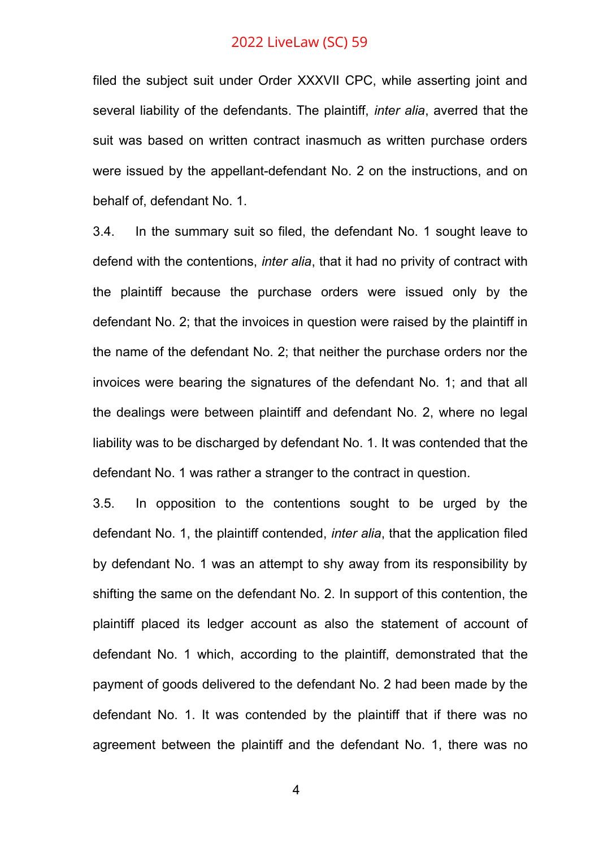filed the subject suit under Order XXXVII CPC, while asserting joint and several liability of the defendants. The plaintiff, *inter alia*, averred that the suit was based on written contract inasmuch as written purchase orders were issued by the appellant-defendant No. 2 on the instructions, and on behalf of, defendant No. 1.

3.4. In the summary suit so filed, the defendant No. 1 sought leave to defend with the contentions, *inter alia*, that it had no privity of contract with the plaintiff because the purchase orders were issued only by the defendant No. 2; that the invoices in question were raised by the plaintiff in the name of the defendant No. 2; that neither the purchase orders nor the invoices were bearing the signatures of the defendant No. 1; and that all the dealings were between plaintiff and defendant No. 2, where no legal liability was to be discharged by defendant No. 1. It was contended that the defendant No. 1 was rather a stranger to the contract in question.

3.5. In opposition to the contentions sought to be urged by the defendant No. 1, the plaintiff contended, *inter alia*, that the application filed by defendant No. 1 was an attempt to shy away from its responsibility by shifting the same on the defendant No. 2. In support of this contention, the plaintiff placed its ledger account as also the statement of account of defendant No. 1 which, according to the plaintiff, demonstrated that the payment of goods delivered to the defendant No. 2 had been made by the defendant No. 1. It was contended by the plaintiff that if there was no agreement between the plaintiff and the defendant No. 1, there was no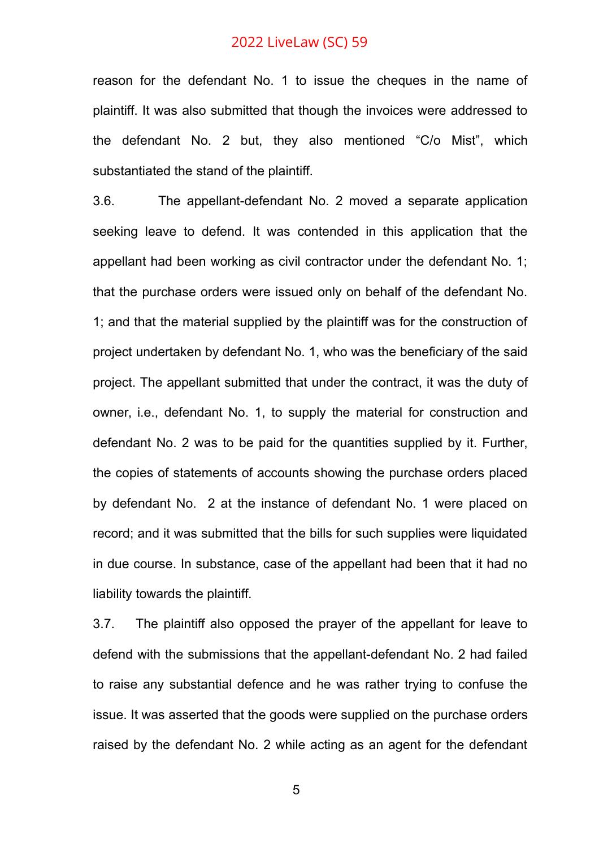reason for the defendant No. 1 to issue the cheques in the name of plaintiff. It was also submitted that though the invoices were addressed to the defendant No. 2 but, they also mentioned "C/o Mist", which substantiated the stand of the plaintiff.

3.6. The appellant-defendant No. 2 moved a separate application seeking leave to defend. It was contended in this application that the appellant had been working as civil contractor under the defendant No. 1; that the purchase orders were issued only on behalf of the defendant No. 1; and that the material supplied by the plaintiff was for the construction of project undertaken by defendant No. 1, who was the beneficiary of the said project. The appellant submitted that under the contract, it was the duty of owner, i.e., defendant No. 1, to supply the material for construction and defendant No. 2 was to be paid for the quantities supplied by it. Further, the copies of statements of accounts showing the purchase orders placed by defendant No. 2 at the instance of defendant No. 1 were placed on record; and it was submitted that the bills for such supplies were liquidated in due course. In substance, case of the appellant had been that it had no liability towards the plaintiff.

3.7. The plaintiff also opposed the prayer of the appellant for leave to defend with the submissions that the appellant-defendant No. 2 had failed to raise any substantial defence and he was rather trying to confuse the issue. It was asserted that the goods were supplied on the purchase orders raised by the defendant No. 2 while acting as an agent for the defendant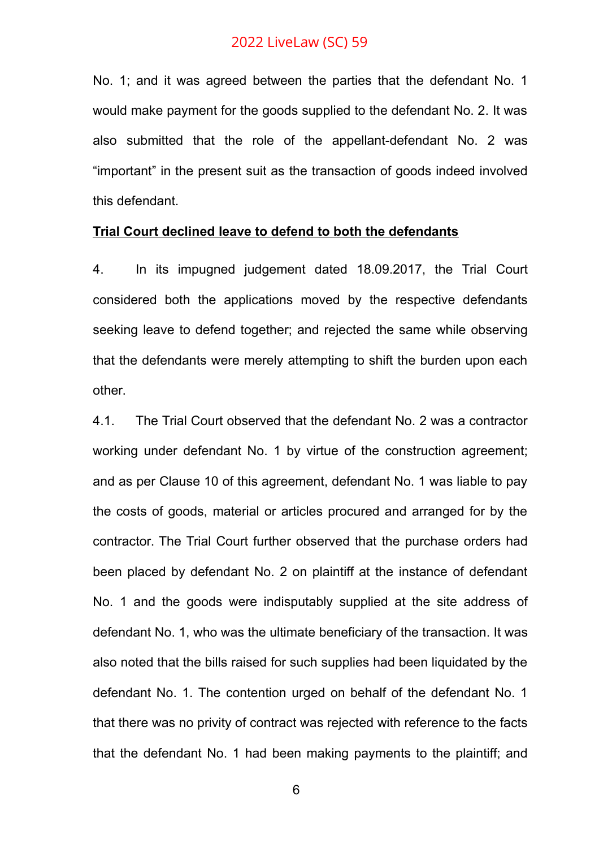No. 1; and it was agreed between the parties that the defendant No. 1 would make payment for the goods supplied to the defendant No. 2. It was also submitted that the role of the appellant-defendant No. 2 was "important" in the present suit as the transaction of goods indeed involved this defendant.

#### **Trial Court declined leave to defend to both the defendants**

4. In its impugned judgement dated 18.09.2017, the Trial Court considered both the applications moved by the respective defendants seeking leave to defend together; and rejected the same while observing that the defendants were merely attempting to shift the burden upon each other.

4.1. The Trial Court observed that the defendant No. 2 was a contractor working under defendant No. 1 by virtue of the construction agreement; and as per Clause 10 of this agreement, defendant No. 1 was liable to pay the costs of goods, material or articles procured and arranged for by the contractor. The Trial Court further observed that the purchase orders had been placed by defendant No. 2 on plaintiff at the instance of defendant No. 1 and the goods were indisputably supplied at the site address of defendant No. 1, who was the ultimate beneficiary of the transaction. It was also noted that the bills raised for such supplies had been liquidated by the defendant No. 1. The contention urged on behalf of the defendant No. 1 that there was no privity of contract was rejected with reference to the facts that the defendant No. 1 had been making payments to the plaintiff; and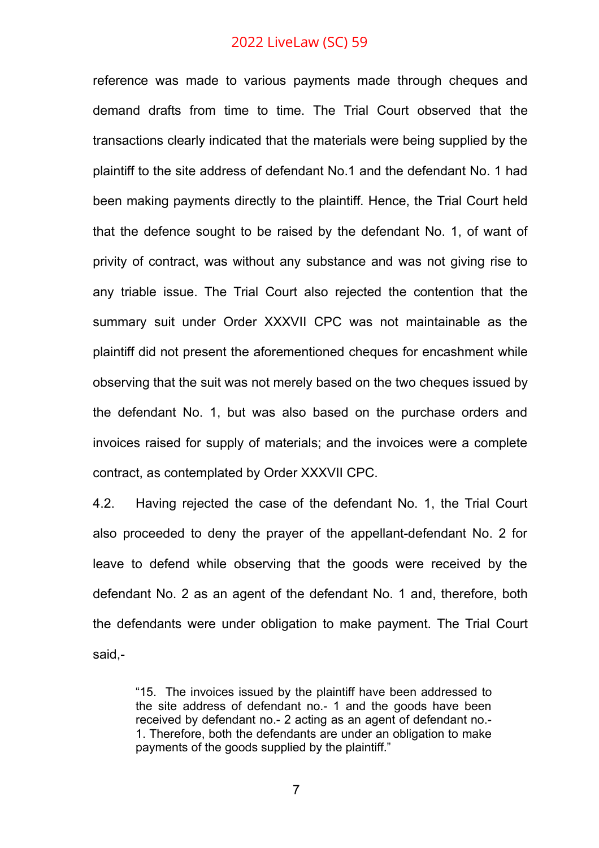reference was made to various payments made through cheques and demand drafts from time to time. The Trial Court observed that the transactions clearly indicated that the materials were being supplied by the plaintiff to the site address of defendant No.1 and the defendant No. 1 had been making payments directly to the plaintiff. Hence, the Trial Court held that the defence sought to be raised by the defendant No. 1, of want of privity of contract, was without any substance and was not giving rise to any triable issue. The Trial Court also rejected the contention that the summary suit under Order XXXVII CPC was not maintainable as the plaintiff did not present the aforementioned cheques for encashment while observing that the suit was not merely based on the two cheques issued by the defendant No. 1, but was also based on the purchase orders and invoices raised for supply of materials; and the invoices were a complete contract, as contemplated by Order XXXVII CPC.

4.2. Having rejected the case of the defendant No. 1, the Trial Court also proceeded to deny the prayer of the appellant-defendant No. 2 for leave to defend while observing that the goods were received by the defendant No. 2 as an agent of the defendant No. 1 and, therefore, both the defendants were under obligation to make payment. The Trial Court said,-

"15. The invoices issued by the plaintiff have been addressed to the site address of defendant no.- 1 and the goods have been received by defendant no.- 2 acting as an agent of defendant no.- 1. Therefore, both the defendants are under an obligation to make payments of the goods supplied by the plaintiff."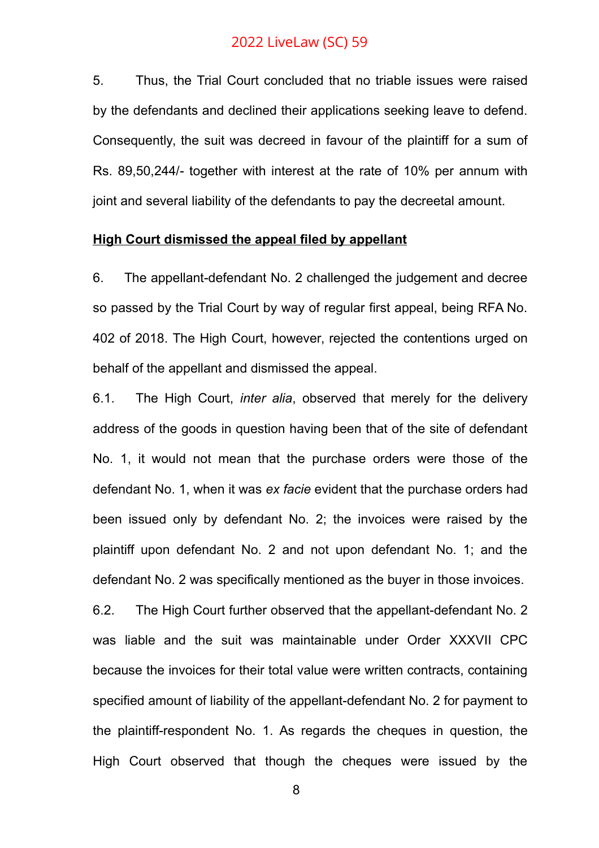5. Thus, the Trial Court concluded that no triable issues were raised by the defendants and declined their applications seeking leave to defend. Consequently, the suit was decreed in favour of the plaintiff for a sum of Rs. 89,50,244/- together with interest at the rate of 10% per annum with joint and several liability of the defendants to pay the decreetal amount.

#### **High Court dismissed the appeal filed by appellant**

6. The appellant-defendant No. 2 challenged the judgement and decree so passed by the Trial Court by way of regular first appeal, being RFA No. 402 of 2018. The High Court, however, rejected the contentions urged on behalf of the appellant and dismissed the appeal.

6.1. The High Court, *inter alia*, observed that merely for the delivery address of the goods in question having been that of the site of defendant No. 1, it would not mean that the purchase orders were those of the defendant No. 1, when it was *ex facie* evident that the purchase orders had been issued only by defendant No. 2; the invoices were raised by the plaintiff upon defendant No. 2 and not upon defendant No. 1; and the defendant No. 2 was specifically mentioned as the buyer in those invoices.

6.2. The High Court further observed that the appellant-defendant No. 2 was liable and the suit was maintainable under Order XXXVII CPC because the invoices for their total value were written contracts, containing specified amount of liability of the appellant-defendant No. 2 for payment to the plaintiff-respondent No. 1. As regards the cheques in question, the High Court observed that though the cheques were issued by the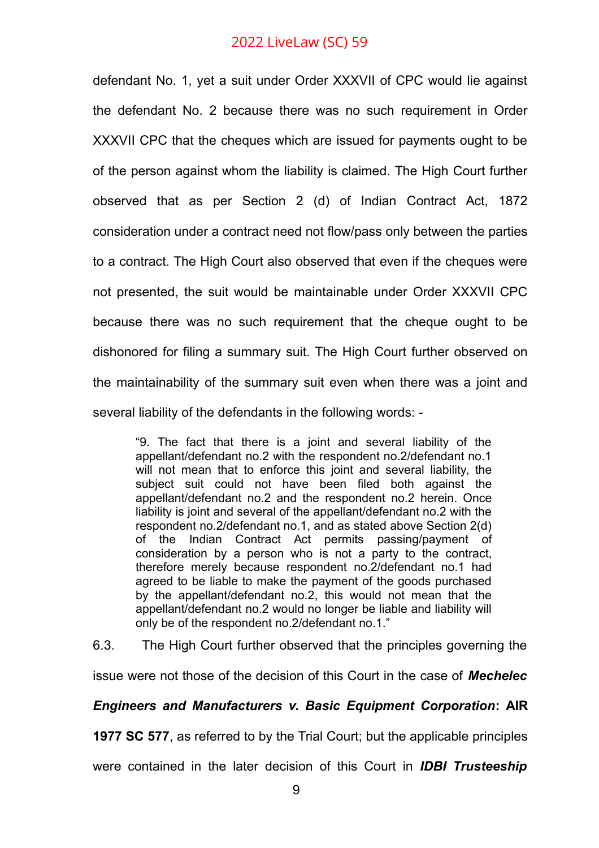defendant No. 1, yet a suit under Order XXXVII of CPC would lie against the defendant No. 2 because there was no such requirement in Order XXXVII CPC that the cheques which are issued for payments ought to be of the person against whom the liability is claimed. The High Court further observed that as per Section 2 (d) of Indian Contract Act, 1872 consideration under a contract need not flow/pass only between the parties to a contract. The High Court also observed that even if the cheques were not presented, the suit would be maintainable under Order XXXVII CPC because there was no such requirement that the cheque ought to be dishonored for filing a summary suit. The High Court further observed on the maintainability of the summary suit even when there was a joint and several liability of the defendants in the following words: -

"9. The fact that there is a joint and several liability of the appellant/defendant no.2 with the respondent no.2/defendant no.1 will not mean that to enforce this joint and several liability, the subject suit could not have been filed both against the appellant/defendant no.2 and the respondent no.2 herein. Once liability is joint and several of the appellant/defendant no.2 with the respondent no.2/defendant no.1, and as stated above Section 2(d) of the Indian Contract Act permits passing/payment of consideration by a person who is not a party to the contract, therefore merely because respondent no.2/defendant no.1 had agreed to be liable to make the payment of the goods purchased by the appellant/defendant no.2, this would not mean that the appellant/defendant no.2 would no longer be liable and liability will only be of the respondent no.2/defendant no.1."

6.3. The High Court further observed that the principles governing the

issue were not those of the decision of this Court in the case of *Mechelec*

### *Engineers and Manufacturers v. Basic Equipment Corporation***: AIR**

**1977 SC 577**, as referred to by the Trial Court; but the applicable principles

were contained in the later decision of this Court in *IDBI Trusteeship*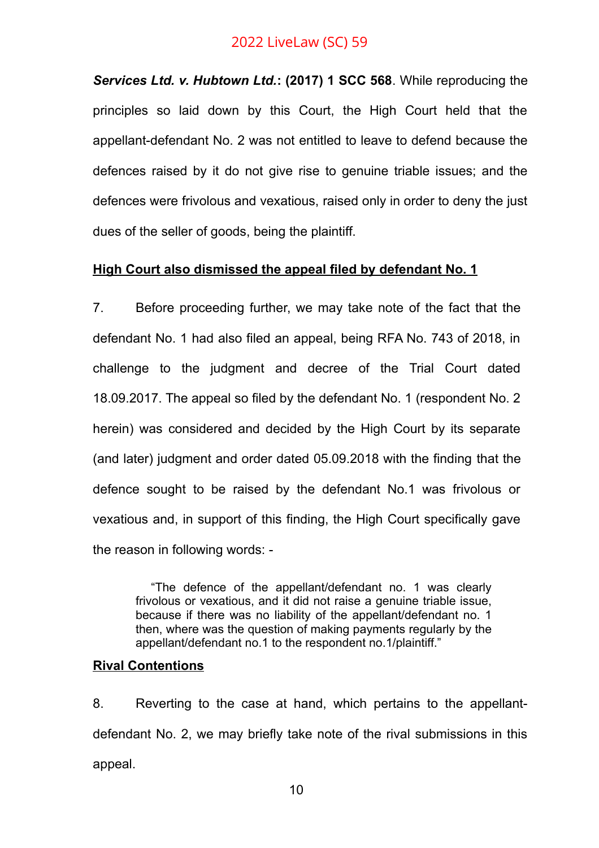*Services Ltd. v. Hubtown Ltd.***: (2017) 1 SCC 568**. While reproducing the principles so laid down by this Court, the High Court held that the appellant-defendant No. 2 was not entitled to leave to defend because the defences raised by it do not give rise to genuine triable issues; and the defences were frivolous and vexatious, raised only in order to deny the just dues of the seller of goods, being the plaintiff.

# **High Court also dismissed the appeal filed by defendant No. 1**

7. Before proceeding further, we may take note of the fact that the defendant No. 1 had also filed an appeal, being RFA No. 743 of 2018, in challenge to the judgment and decree of the Trial Court dated 18.09.2017. The appeal so filed by the defendant No. 1 (respondent No. 2 herein) was considered and decided by the High Court by its separate (and later) judgment and order dated 05.09.2018 with the finding that the defence sought to be raised by the defendant No.1 was frivolous or vexatious and, in support of this finding, the High Court specifically gave the reason in following words: -

"The defence of the appellant/defendant no. 1 was clearly frivolous or vexatious, and it did not raise a genuine triable issue, because if there was no liability of the appellant/defendant no. 1 then, where was the question of making payments regularly by the appellant/defendant no.1 to the respondent no.1/plaintiff."

#### **Rival Contentions**

8. Reverting to the case at hand, which pertains to the appellantdefendant No. 2, we may briefly take note of the rival submissions in this appeal.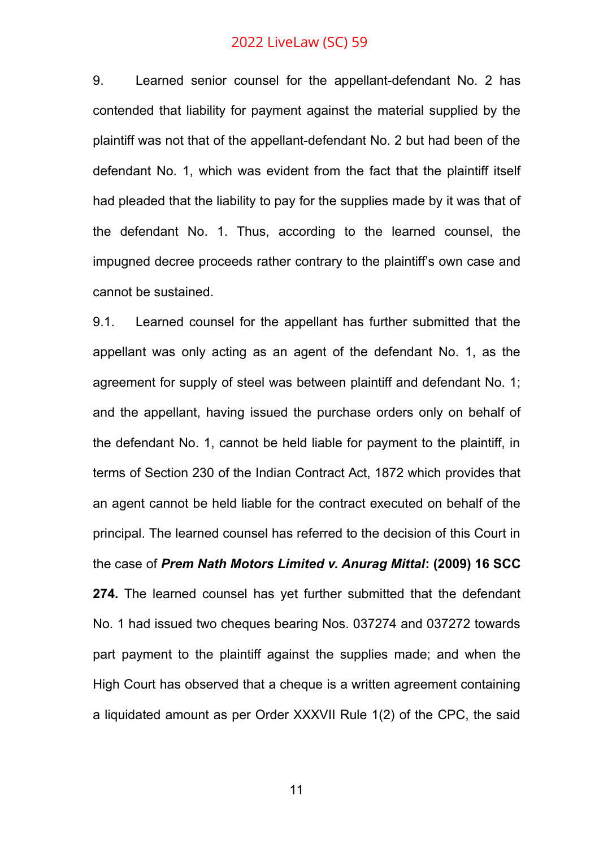9. Learned senior counsel for the appellant-defendant No. 2 has contended that liability for payment against the material supplied by the plaintiff was not that of the appellant-defendant No. 2 but had been of the defendant No. 1, which was evident from the fact that the plaintiff itself had pleaded that the liability to pay for the supplies made by it was that of the defendant No. 1. Thus, according to the learned counsel, the impugned decree proceeds rather contrary to the plaintiff's own case and cannot be sustained.

9.1. Learned counsel for the appellant has further submitted that the appellant was only acting as an agent of the defendant No. 1, as the agreement for supply of steel was between plaintiff and defendant No. 1: and the appellant, having issued the purchase orders only on behalf of the defendant No. 1, cannot be held liable for payment to the plaintiff, in terms of Section 230 of the Indian Contract Act, 1872 which provides that an agent cannot be held liable for the contract executed on behalf of the principal. The learned counsel has referred to the decision of this Court in the case of *Prem Nath Motors Limited v. Anurag Mittal***: (2009) 16 SCC 274.** The learned counsel has yet further submitted that the defendant No. 1 had issued two cheques bearing Nos. 037274 and 037272 towards part payment to the plaintiff against the supplies made; and when the High Court has observed that a cheque is a written agreement containing a liquidated amount as per Order XXXVII Rule 1(2) of the CPC, the said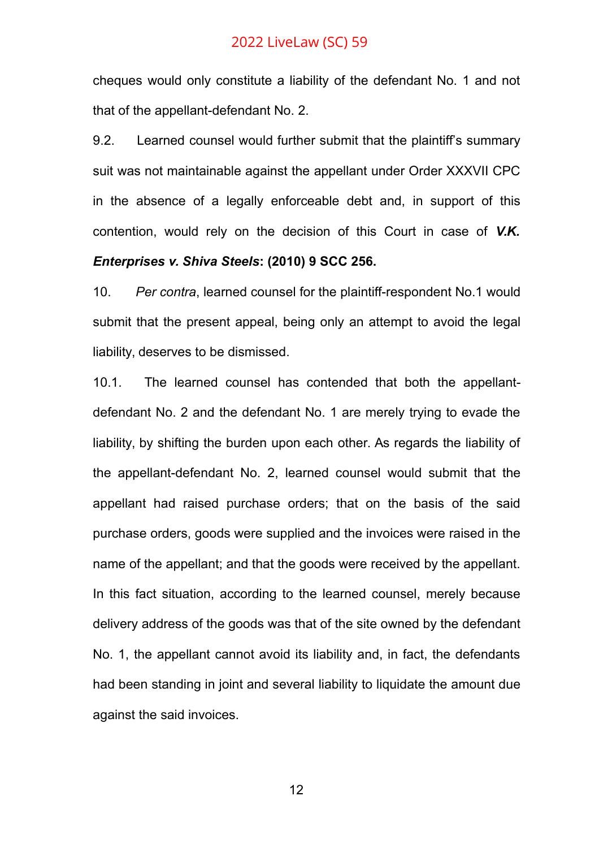cheques would only constitute a liability of the defendant No. 1 and not that of the appellant-defendant No. 2.

9.2. Learned counsel would further submit that the plaintiff's summary suit was not maintainable against the appellant under Order XXXVII CPC in the absence of a legally enforceable debt and, in support of this contention, would rely on the decision of this Court in case of *V.K.*

#### *Enterprises v. Shiva Steels***: (2010) 9 SCC 256.**

10. *Per contra*, learned counsel for the plaintiff-respondent No.1 would submit that the present appeal, being only an attempt to avoid the legal liability, deserves to be dismissed.

10.1. The learned counsel has contended that both the appellantdefendant No. 2 and the defendant No. 1 are merely trying to evade the liability, by shifting the burden upon each other. As regards the liability of the appellant-defendant No. 2, learned counsel would submit that the appellant had raised purchase orders; that on the basis of the said purchase orders, goods were supplied and the invoices were raised in the name of the appellant; and that the goods were received by the appellant. In this fact situation, according to the learned counsel, merely because delivery address of the goods was that of the site owned by the defendant No. 1, the appellant cannot avoid its liability and, in fact, the defendants had been standing in joint and several liability to liquidate the amount due against the said invoices.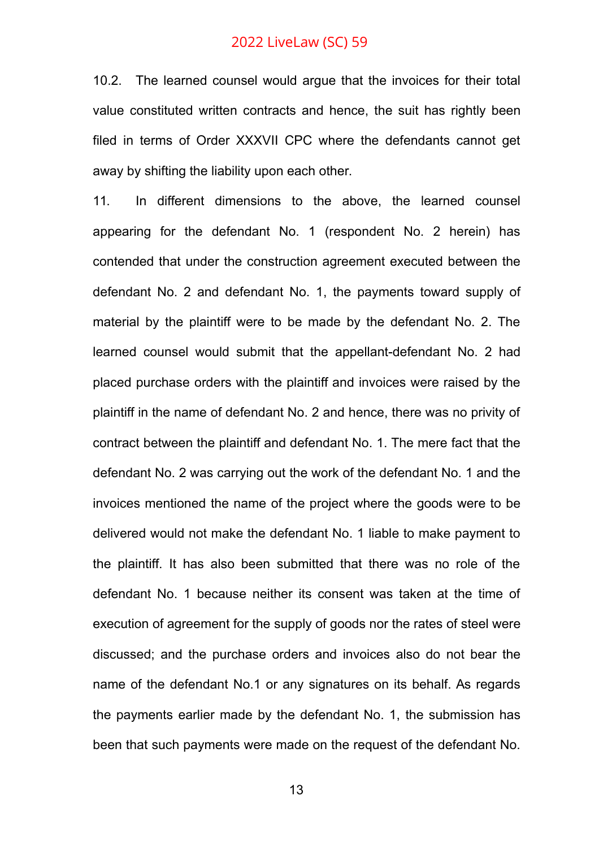10.2. The learned counsel would argue that the invoices for their total value constituted written contracts and hence, the suit has rightly been filed in terms of Order XXXVII CPC where the defendants cannot get away by shifting the liability upon each other.

11. In different dimensions to the above, the learned counsel appearing for the defendant No. 1 (respondent No. 2 herein) has contended that under the construction agreement executed between the defendant No. 2 and defendant No. 1, the payments toward supply of material by the plaintiff were to be made by the defendant No. 2. The learned counsel would submit that the appellant-defendant No. 2 had placed purchase orders with the plaintiff and invoices were raised by the plaintiff in the name of defendant No. 2 and hence, there was no privity of contract between the plaintiff and defendant No. 1. The mere fact that the defendant No. 2 was carrying out the work of the defendant No. 1 and the invoices mentioned the name of the project where the goods were to be delivered would not make the defendant No. 1 liable to make payment to the plaintiff. It has also been submitted that there was no role of the defendant No. 1 because neither its consent was taken at the time of execution of agreement for the supply of goods nor the rates of steel were discussed; and the purchase orders and invoices also do not bear the name of the defendant No.1 or any signatures on its behalf. As regards the payments earlier made by the defendant No. 1, the submission has been that such payments were made on the request of the defendant No.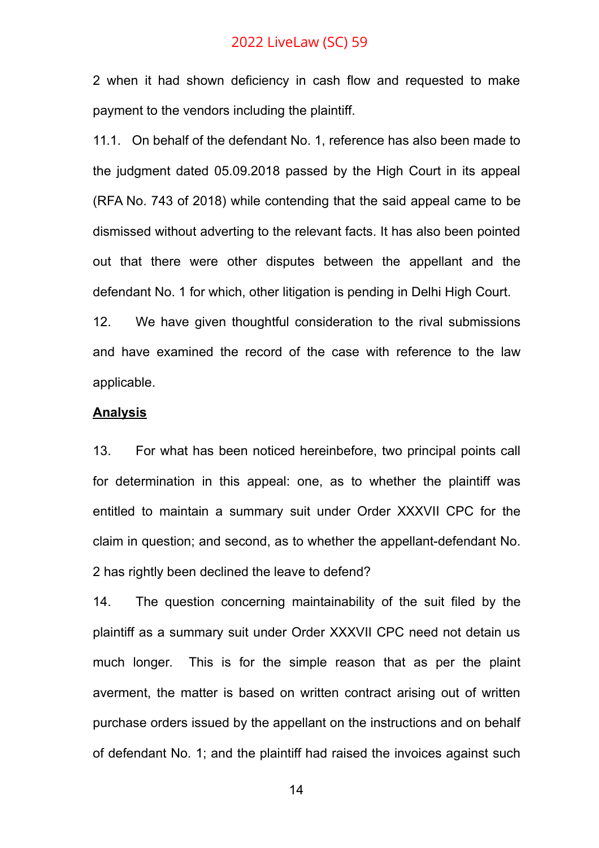2 when it had shown deficiency in cash flow and requested to make payment to the vendors including the plaintiff.

11.1. On behalf of the defendant No. 1, reference has also been made to the judgment dated 05.09.2018 passed by the High Court in its appeal (RFA No. 743 of 2018) while contending that the said appeal came to be dismissed without adverting to the relevant facts. It has also been pointed out that there were other disputes between the appellant and the defendant No. 1 for which, other litigation is pending in Delhi High Court.

12. We have given thoughtful consideration to the rival submissions and have examined the record of the case with reference to the law applicable.

#### **Analysis**

13. For what has been noticed hereinbefore, two principal points call for determination in this appeal: one, as to whether the plaintiff was entitled to maintain a summary suit under Order XXXVII CPC for the claim in question; and second, as to whether the appellant-defendant No. 2 has rightly been declined the leave to defend?

14. The question concerning maintainability of the suit filed by the plaintiff as a summary suit under Order XXXVII CPC need not detain us much longer. This is for the simple reason that as per the plaint averment, the matter is based on written contract arising out of written purchase orders issued by the appellant on the instructions and on behalf of defendant No. 1; and the plaintiff had raised the invoices against such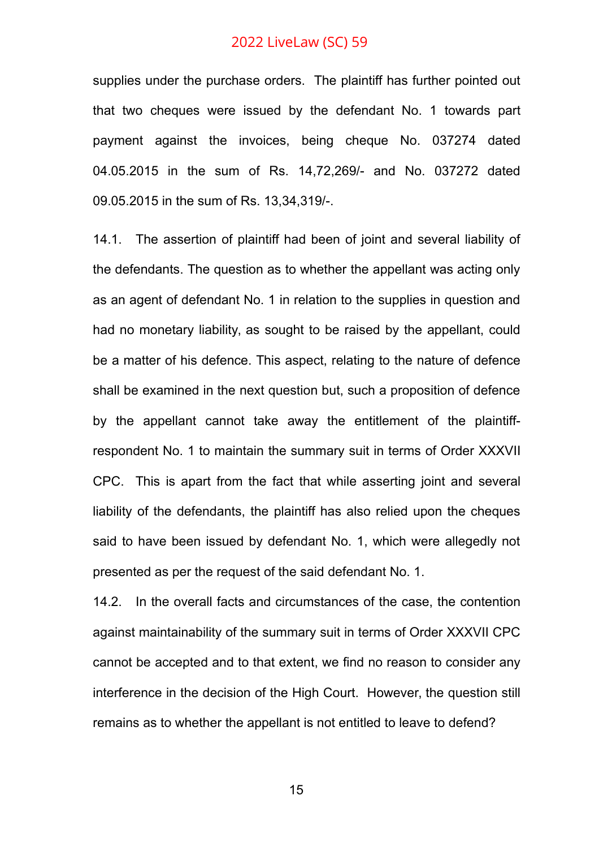supplies under the purchase orders. The plaintiff has further pointed out that two cheques were issued by the defendant No. 1 towards part payment against the invoices, being cheque No. 037274 dated 04.05.2015 in the sum of Rs. 14,72,269/- and No. 037272 dated 09.05.2015 in the sum of Rs. 13,34,319/-.

14.1. The assertion of plaintiff had been of joint and several liability of the defendants. The question as to whether the appellant was acting only as an agent of defendant No. 1 in relation to the supplies in question and had no monetary liability, as sought to be raised by the appellant, could be a matter of his defence. This aspect, relating to the nature of defence shall be examined in the next question but, such a proposition of defence by the appellant cannot take away the entitlement of the plaintiffrespondent No. 1 to maintain the summary suit in terms of Order XXXVII CPC. This is apart from the fact that while asserting joint and several liability of the defendants, the plaintiff has also relied upon the cheques said to have been issued by defendant No. 1, which were allegedly not presented as per the request of the said defendant No. 1.

14.2. In the overall facts and circumstances of the case, the contention against maintainability of the summary suit in terms of Order XXXVII CPC cannot be accepted and to that extent, we find no reason to consider any interference in the decision of the High Court. However, the question still remains as to whether the appellant is not entitled to leave to defend?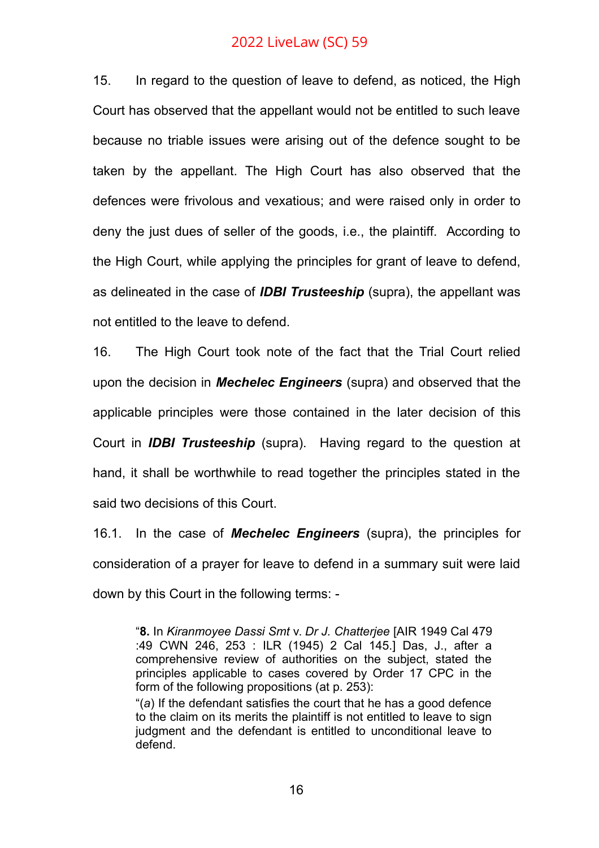15. In regard to the question of leave to defend, as noticed, the High Court has observed that the appellant would not be entitled to such leave because no triable issues were arising out of the defence sought to be taken by the appellant. The High Court has also observed that the defences were frivolous and vexatious; and were raised only in order to deny the just dues of seller of the goods, i.e., the plaintiff. According to the High Court, while applying the principles for grant of leave to defend, as delineated in the case of *IDBI Trusteeship* (supra), the appellant was not entitled to the leave to defend.

16. The High Court took note of the fact that the Trial Court relied upon the decision in *Mechelec Engineers* (supra) and observed that the applicable principles were those contained in the later decision of this Court in *IDBI Trusteeship* (supra). Having regard to the question at hand, it shall be worthwhile to read together the principles stated in the said two decisions of this Court.

16.1. In the case of *Mechelec Engineers* (supra), the principles for consideration of a prayer for leave to defend in a summary suit were laid down by this Court in the following terms: -

judgment and the defendant is entitled to unconditional leave to defend.

<sup>&</sup>quot;**8.** In *Kiranmoyee Dassi Smt* v. *Dr J. Chatterjee* [AIR 1949 Cal 479 :49 CWN 246, 253 : ILR (1945) 2 Cal 145.] Das, J., after a comprehensive review of authorities on the subject, stated the principles applicable to cases covered by Order 17 CPC in the form of the following propositions (at p. 253): "(*a*) If the defendant satisfies the court that he has a good defence to the claim on its merits the plaintiff is not entitled to leave to sign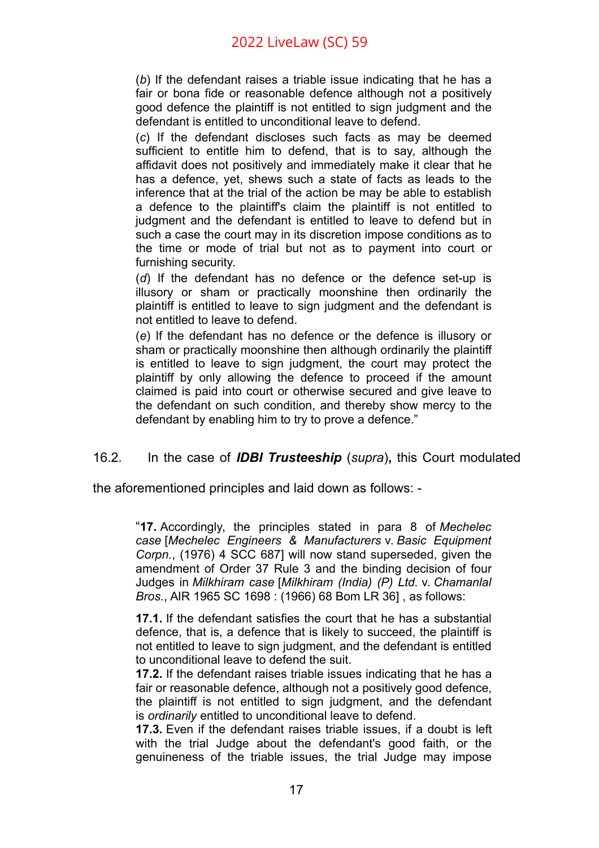(*b*) If the defendant raises a triable issue indicating that he has a fair or bona fide or reasonable defence although not a positively good defence the plaintiff is not entitled to sign judgment and the defendant is entitled to unconditional leave to defend.

(*c*) If the defendant discloses such facts as may be deemed sufficient to entitle him to defend, that is to say, although the affidavit does not positively and immediately make it clear that he has a defence, yet, shews such a state of facts as leads to the inference that at the trial of the action be may be able to establish a defence to the plaintiff's claim the plaintiff is not entitled to judgment and the defendant is entitled to leave to defend but in such a case the court may in its discretion impose conditions as to the time or mode of trial but not as to payment into court or furnishing security.

(*d*) If the defendant has no defence or the defence set-up is illusory or sham or practically moonshine then ordinarily the plaintiff is entitled to leave to sign judgment and the defendant is not entitled to leave to defend.

(*e*) If the defendant has no defence or the defence is illusory or sham or practically moonshine then although ordinarily the plaintiff is entitled to leave to sign judgment, the court may protect the plaintiff by only allowing the defence to proceed if the amount claimed is paid into court or otherwise secured and give leave to the defendant on such condition, and thereby show mercy to the defendant by enabling him to try to prove a defence."

### 16.2. In the case of *IDBI Trusteeship* (*supra*)**,** this Court modulated

the aforementioned principles and laid down as follows: -

"**17.** Accordingly, the principles stated in para 8 of *Mechelec case* [*Mechelec Engineers & Manufacturers* v. *Basic Equipment Corpn.*, (1976) 4 SCC 687] will now stand superseded, given the amendment of Order 37 Rule 3 and the binding decision of four Judges in *Milkhiram case* [*Milkhiram (India) (P) Ltd.* v. *Chamanlal Bros.*, AIR 1965 SC 1698 : (1966) 68 Bom LR 36] , as follows:

**17.1.** If the defendant satisfies the court that he has a substantial defence, that is, a defence that is likely to succeed, the plaintiff is not entitled to leave to sign judgment, and the defendant is entitled to unconditional leave to defend the suit.

**17.2.** If the defendant raises triable issues indicating that he has a fair or reasonable defence, although not a positively good defence, the plaintiff is not entitled to sign judgment, and the defendant is *ordinarily* entitled to unconditional leave to defend.

**17.3.** Even if the defendant raises triable issues, if a doubt is left with the trial Judge about the defendant's good faith, or the genuineness of the triable issues, the trial Judge may impose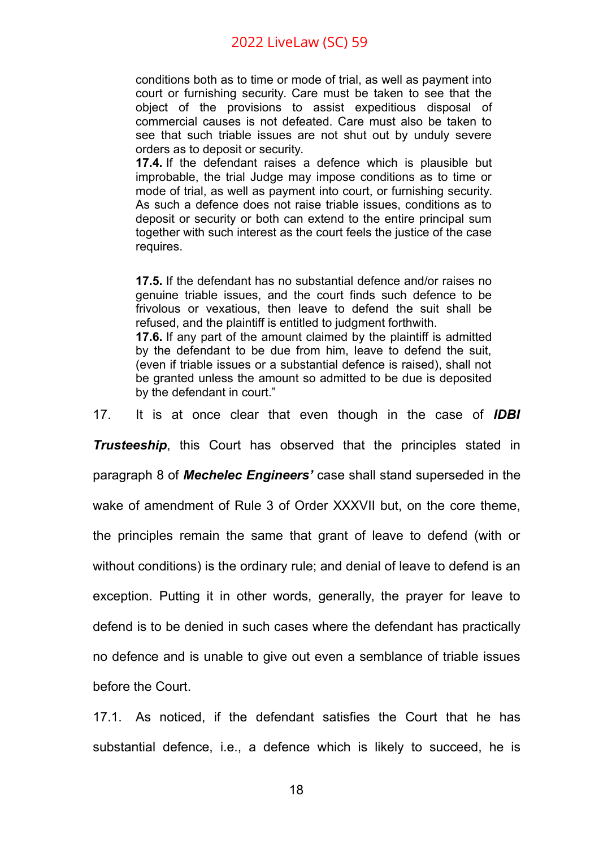conditions both as to time or mode of trial, as well as payment into court or furnishing security. Care must be taken to see that the object of the provisions to assist expeditious disposal of commercial causes is not defeated. Care must also be taken to see that such triable issues are not shut out by unduly severe orders as to deposit or security.

**17.4.** If the defendant raises a defence which is plausible but improbable, the trial Judge may impose conditions as to time or mode of trial, as well as payment into court, or furnishing security. As such a defence does not raise triable issues, conditions as to deposit or security or both can extend to the entire principal sum together with such interest as the court feels the justice of the case requires.

**17.5.** If the defendant has no substantial defence and/or raises no genuine triable issues, and the court finds such defence to be frivolous or vexatious, then leave to defend the suit shall be refused, and the plaintiff is entitled to judgment forthwith. **17.6.** If any part of the amount claimed by the plaintiff is admitted

by the defendant to be due from him, leave to defend the suit, (even if triable issues or a substantial defence is raised), shall not be granted unless the amount so admitted to be due is deposited by the defendant in court."

17. It is at once clear that even though in the case of *IDBI*

*Trusteeship*, this Court has observed that the principles stated in

paragraph 8 of *Mechelec Engineers'* case shall stand superseded in the

wake of amendment of Rule 3 of Order XXXVII but, on the core theme,

the principles remain the same that grant of leave to defend (with or

without conditions) is the ordinary rule; and denial of leave to defend is an

exception. Putting it in other words, generally, the prayer for leave to

defend is to be denied in such cases where the defendant has practically

no defence and is unable to give out even a semblance of triable issues

before the Court.

17.1. As noticed, if the defendant satisfies the Court that he has substantial defence, i.e., a defence which is likely to succeed, he is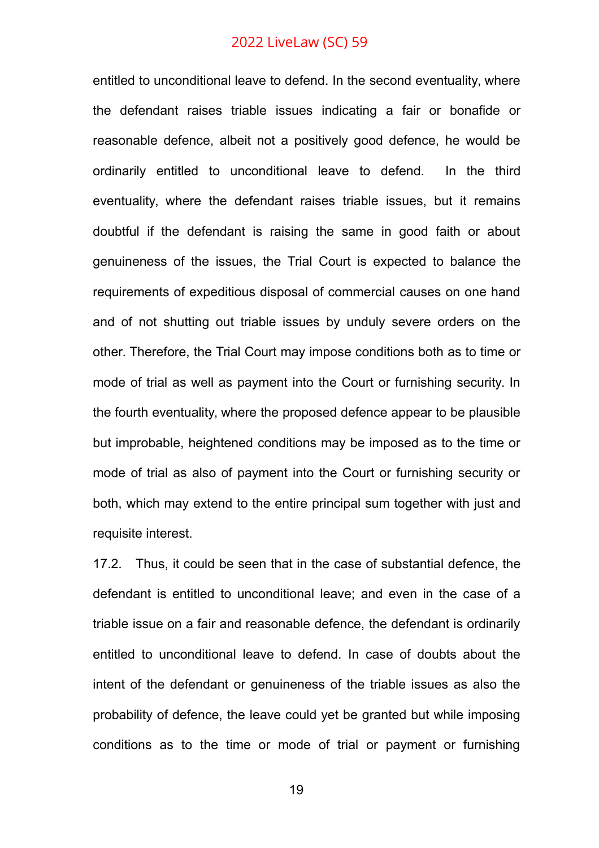entitled to unconditional leave to defend. In the second eventuality, where the defendant raises triable issues indicating a fair or bonafide or reasonable defence, albeit not a positively good defence, he would be ordinarily entitled to unconditional leave to defend. In the third eventuality, where the defendant raises triable issues, but it remains doubtful if the defendant is raising the same in good faith or about genuineness of the issues, the Trial Court is expected to balance the requirements of expeditious disposal of commercial causes on one hand and of not shutting out triable issues by unduly severe orders on the other. Therefore, the Trial Court may impose conditions both as to time or mode of trial as well as payment into the Court or furnishing security. In the fourth eventuality, where the proposed defence appear to be plausible but improbable, heightened conditions may be imposed as to the time or mode of trial as also of payment into the Court or furnishing security or both, which may extend to the entire principal sum together with just and requisite interest.

17.2. Thus, it could be seen that in the case of substantial defence, the defendant is entitled to unconditional leave; and even in the case of a triable issue on a fair and reasonable defence, the defendant is ordinarily entitled to unconditional leave to defend. In case of doubts about the intent of the defendant or genuineness of the triable issues as also the probability of defence, the leave could yet be granted but while imposing conditions as to the time or mode of trial or payment or furnishing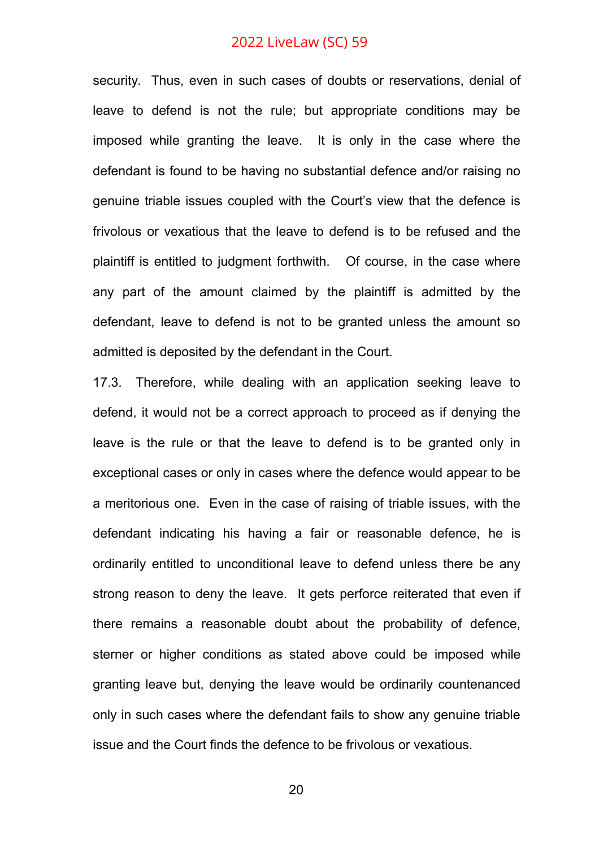security. Thus, even in such cases of doubts or reservations, denial of leave to defend is not the rule; but appropriate conditions may be imposed while granting the leave. It is only in the case where the defendant is found to be having no substantial defence and/or raising no genuine triable issues coupled with the Court's view that the defence is frivolous or vexatious that the leave to defend is to be refused and the plaintiff is entitled to judgment forthwith. Of course, in the case where any part of the amount claimed by the plaintiff is admitted by the defendant, leave to defend is not to be granted unless the amount so admitted is deposited by the defendant in the Court.

17.3. Therefore, while dealing with an application seeking leave to defend, it would not be a correct approach to proceed as if denying the leave is the rule or that the leave to defend is to be granted only in exceptional cases or only in cases where the defence would appear to be a meritorious one. Even in the case of raising of triable issues, with the defendant indicating his having a fair or reasonable defence, he is ordinarily entitled to unconditional leave to defend unless there be any strong reason to deny the leave. It gets perforce reiterated that even if there remains a reasonable doubt about the probability of defence, sterner or higher conditions as stated above could be imposed while granting leave but, denying the leave would be ordinarily countenanced only in such cases where the defendant fails to show any genuine triable issue and the Court finds the defence to be frivolous or vexatious.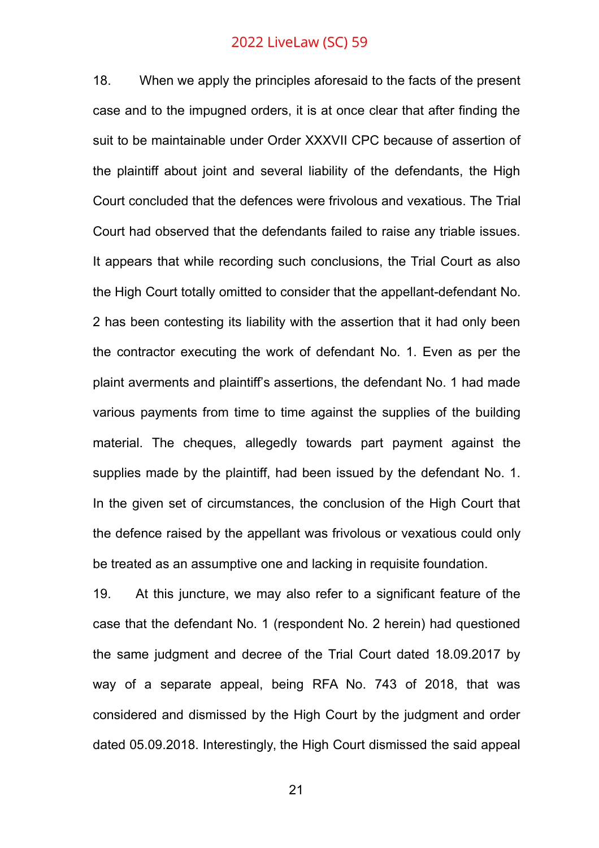18. When we apply the principles aforesaid to the facts of the present case and to the impugned orders, it is at once clear that after finding the suit to be maintainable under Order XXXVII CPC because of assertion of the plaintiff about joint and several liability of the defendants, the High Court concluded that the defences were frivolous and vexatious. The Trial Court had observed that the defendants failed to raise any triable issues. It appears that while recording such conclusions, the Trial Court as also the High Court totally omitted to consider that the appellant-defendant No. 2 has been contesting its liability with the assertion that it had only been the contractor executing the work of defendant No. 1. Even as per the plaint averments and plaintiff's assertions, the defendant No. 1 had made various payments from time to time against the supplies of the building material. The cheques, allegedly towards part payment against the supplies made by the plaintiff, had been issued by the defendant No. 1. In the given set of circumstances, the conclusion of the High Court that the defence raised by the appellant was frivolous or vexatious could only be treated as an assumptive one and lacking in requisite foundation.

19. At this juncture, we may also refer to a significant feature of the case that the defendant No. 1 (respondent No. 2 herein) had questioned the same judgment and decree of the Trial Court dated 18.09.2017 by way of a separate appeal, being RFA No. 743 of 2018, that was considered and dismissed by the High Court by the judgment and order dated 05.09.2018. Interestingly, the High Court dismissed the said appeal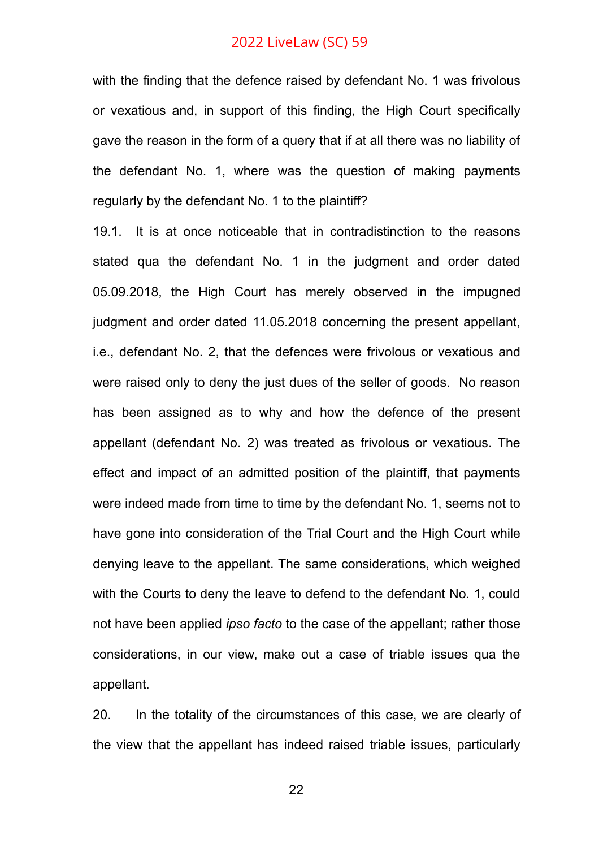with the finding that the defence raised by defendant No. 1 was frivolous or vexatious and, in support of this finding, the High Court specifically gave the reason in the form of a query that if at all there was no liability of the defendant No. 1, where was the question of making payments regularly by the defendant No. 1 to the plaintiff?

19.1. It is at once noticeable that in contradistinction to the reasons stated qua the defendant No. 1 in the judgment and order dated 05.09.2018, the High Court has merely observed in the impugned judgment and order dated 11.05.2018 concerning the present appellant, i.e., defendant No. 2, that the defences were frivolous or vexatious and were raised only to deny the just dues of the seller of goods. No reason has been assigned as to why and how the defence of the present appellant (defendant No. 2) was treated as frivolous or vexatious. The effect and impact of an admitted position of the plaintiff, that payments were indeed made from time to time by the defendant No. 1, seems not to have gone into consideration of the Trial Court and the High Court while denying leave to the appellant. The same considerations, which weighed with the Courts to deny the leave to defend to the defendant No. 1, could not have been applied *ipso facto* to the case of the appellant; rather those considerations, in our view, make out a case of triable issues qua the appellant.

20. In the totality of the circumstances of this case, we are clearly of the view that the appellant has indeed raised triable issues, particularly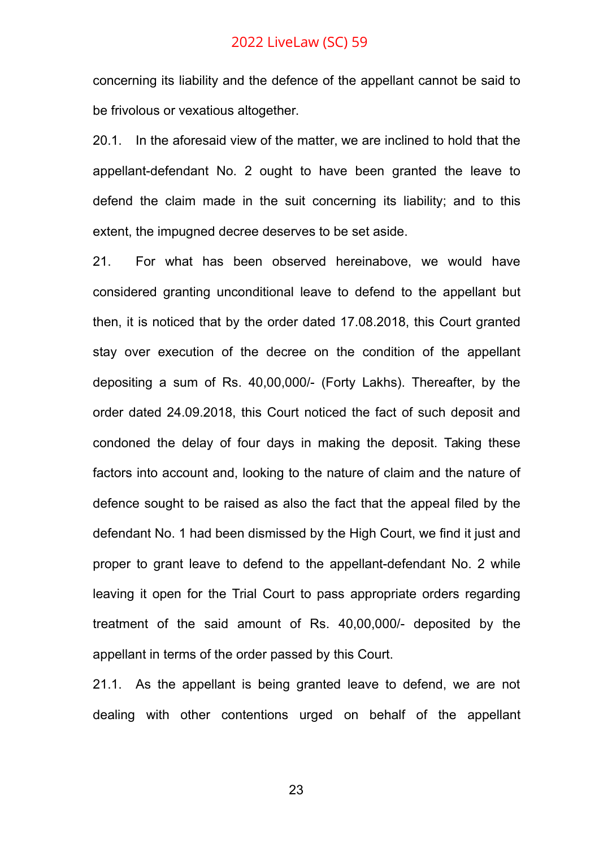concerning its liability and the defence of the appellant cannot be said to be frivolous or vexatious altogether.

20.1. In the aforesaid view of the matter, we are inclined to hold that the appellant-defendant No. 2 ought to have been granted the leave to defend the claim made in the suit concerning its liability; and to this extent, the impugned decree deserves to be set aside.

21. For what has been observed hereinabove, we would have considered granting unconditional leave to defend to the appellant but then, it is noticed that by the order dated 17.08.2018, this Court granted stay over execution of the decree on the condition of the appellant depositing a sum of Rs. 40,00,000/- (Forty Lakhs). Thereafter, by the order dated 24.09.2018, this Court noticed the fact of such deposit and condoned the delay of four days in making the deposit. Taking these factors into account and, looking to the nature of claim and the nature of defence sought to be raised as also the fact that the appeal filed by the defendant No. 1 had been dismissed by the High Court, we find it just and proper to grant leave to defend to the appellant-defendant No. 2 while leaving it open for the Trial Court to pass appropriate orders regarding treatment of the said amount of Rs. 40,00,000/- deposited by the appellant in terms of the order passed by this Court.

21.1. As the appellant is being granted leave to defend, we are not dealing with other contentions urged on behalf of the appellant